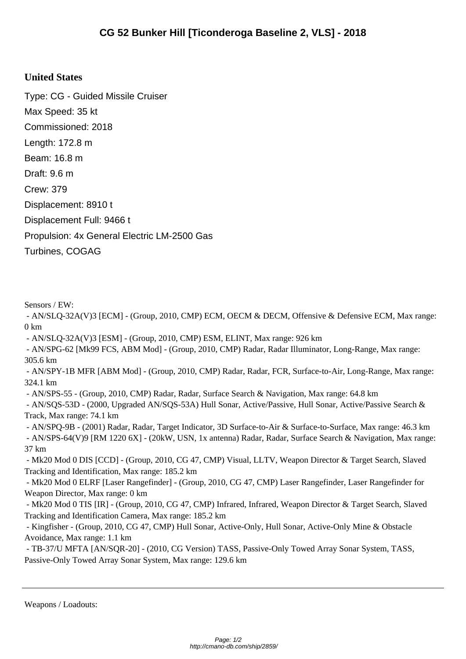## **United States**

Type: CG - Guided Missile Cruiser Max Speed: 35 kt Commissioned: 2018 Length: 172.8 m Beam: 16.8 m Draft: 9.6 m Crew: 379 Displacement: 8910 t Displacement Full: 9466 t Propulsion: 4x General Electric LM-2500 Gas Turbines, COGAG

Sensors / EW:

 - AN/SLQ-32A(V)3 [ECM] - (Group, 2010, CMP) ECM, OECM & DECM, Offensive & Defensive ECM, Max range: 0 km

- AN/SLQ-32A(V)3 [ESM] - (Group, 2010, CMP) ESM, ELINT, Max range: 926 km

 - AN/SPG-62 [Mk99 FCS, ABM Mod] - (Group, 2010, CMP) Radar, Radar Illuminator, Long-Range, Max range: 305.6 km

 - AN/SPY-1B MFR [ABM Mod] - (Group, 2010, CMP) Radar, Radar, FCR, Surface-to-Air, Long-Range, Max range: 324.1 km

- AN/SPS-55 - (Group, 2010, CMP) Radar, Radar, Surface Search & Navigation, Max range: 64.8 km

 - AN/SQS-53D - (2000, Upgraded AN/SQS-53A) Hull Sonar, Active/Passive, Hull Sonar, Active/Passive Search & Track, Max range: 74.1 km

 - AN/SPQ-9B - (2001) Radar, Radar, Target Indicator, 3D Surface-to-Air & Surface-to-Surface, Max range: 46.3 km - AN/SPS-64(V)9 [RM 1220 6X] - (20kW, USN, 1x antenna) Radar, Radar, Surface Search & Navigation, Max range: 37 km

 - Mk20 Mod 0 DIS [CCD] - (Group, 2010, CG 47, CMP) Visual, LLTV, Weapon Director & Target Search, Slaved Tracking and Identification, Max range: 185.2 km

 - Mk20 Mod 0 ELRF [Laser Rangefinder] - (Group, 2010, CG 47, CMP) Laser Rangefinder, Laser Rangefinder for Weapon Director, Max range: 0 km

 - Mk20 Mod 0 TIS [IR] - (Group, 2010, CG 47, CMP) Infrared, Infrared, Weapon Director & Target Search, Slaved Tracking and Identification Camera, Max range: 185.2 km

 - Kingfisher - (Group, 2010, CG 47, CMP) Hull Sonar, Active-Only, Hull Sonar, Active-Only Mine & Obstacle Avoidance, Max range: 1.1 km

 - TB-37/U MFTA [AN/SQR-20] - (2010, CG Version) TASS, Passive-Only Towed Array Sonar System, TASS, Passive-Only Towed Array Sonar System, Max range: 129.6 km

Weapons / Loadouts: